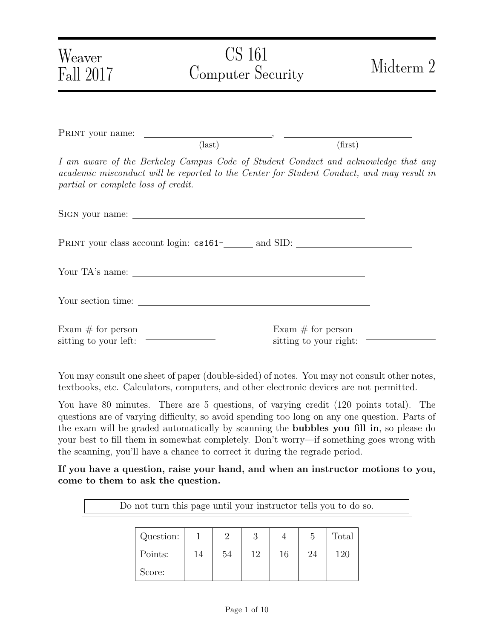| Weaver<br>Fall 2017                                                   | CS 161<br><b>Computer Security</b> | Midterm 2                                                                                                                                                                       |
|-----------------------------------------------------------------------|------------------------------------|---------------------------------------------------------------------------------------------------------------------------------------------------------------------------------|
|                                                                       |                                    |                                                                                                                                                                                 |
|                                                                       | $\text{(last)}$                    | (first)                                                                                                                                                                         |
| partial or complete loss of credit.                                   |                                    | I am aware of the Berkeley Campus Code of Student Conduct and acknowledge that any<br>academic misconduct will be reported to the Center for Student Conduct, and may result in |
|                                                                       |                                    |                                                                                                                                                                                 |
|                                                                       |                                    |                                                                                                                                                                                 |
|                                                                       |                                    |                                                                                                                                                                                 |
|                                                                       |                                    |                                                                                                                                                                                 |
| Exam $#$ for person<br>sitting to your left: $\overline{\phantom{a}}$ |                                    | Exam $#$ for person<br>sitting to your right: $\overline{\phantom{a}}$                                                                                                          |

You may consult one sheet of paper (double-sided) of notes. You may not consult other notes, textbooks, etc. Calculators, computers, and other electronic devices are not permitted.

You have 80 minutes. There are 5 questions, of varying credit (120 points total). The questions are of varying difficulty, so avoid spending too long on any one question. Parts of the exam will be graded automatically by scanning the bubbles you fill in, so please do your best to fill them in somewhat completely. Don't worry—if something goes wrong with the scanning, you'll have a chance to correct it during the regrade period.

If you have a question, raise your hand, and when an instructor motions to you, come to them to ask the question.

| Do not turn this page until your instructor tells you to do so. |           |    |                             |    |    |    |       |  |  |
|-----------------------------------------------------------------|-----------|----|-----------------------------|----|----|----|-------|--|--|
|                                                                 |           |    |                             |    |    |    |       |  |  |
|                                                                 | Question: |    | $\mathcal{D}_{\mathcal{L}}$ | 3  |    | 5  | Total |  |  |
|                                                                 | Points:   | 14 | 54                          | 12 | 16 | 94 | 120   |  |  |
|                                                                 | Score:    |    |                             |    |    |    |       |  |  |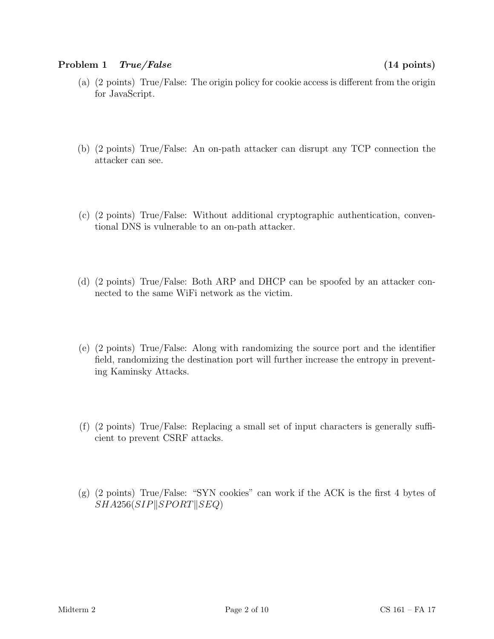#### Problem 1 True/False (14 points)

- (a) (2 points) True/False: The origin policy for cookie access is different from the origin for JavaScript.
- (b) (2 points) True/False: An on-path attacker can disrupt any TCP connection the attacker can see.
- (c) (2 points) True/False: Without additional cryptographic authentication, conventional DNS is vulnerable to an on-path attacker.
- (d) (2 points) True/False: Both ARP and DHCP can be spoofed by an attacker connected to the same WiFi network as the victim.
- (e) (2 points) True/False: Along with randomizing the source port and the identifier field, randomizing the destination port will further increase the entropy in preventing Kaminsky Attacks.
- (f) (2 points) True/False: Replacing a small set of input characters is generally sufficient to prevent CSRF attacks.
- (g) (2 points) True/False: "SYN cookies" can work if the ACK is the first 4 bytes of  $SHA256(SIP||SPORT||SEQ)$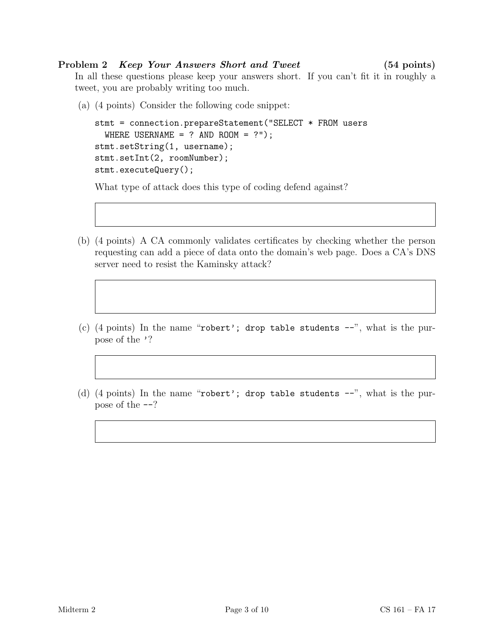### Problem 2 *Keep Your Answers Short and Tweet* (54 points)

In all these questions please keep your answers short. If you can't fit it in roughly a tweet, you are probably writing too much.

(a) (4 points) Consider the following code snippet:

```
stmt = connection.prepareStatement("SELECT * FROM users
 WHERE USERNAME = ? AND ROOM = ?");
stmt.setString(1, username);
stmt.setInt(2, roomNumber);
stmt.executeQuery();
```
What type of attack does this type of coding defend against?

- (b) (4 points) A CA commonly validates certificates by checking whether the person requesting can add a piece of data onto the domain's web page. Does a CA's DNS server need to resist the Kaminsky attack?
- (c) (4 points) In the name "robert'; drop table students  $-$ ", what is the purpose of the '?
- (d) (4 points) In the name "robert'; drop table students  $-$ ", what is the purpose of the --?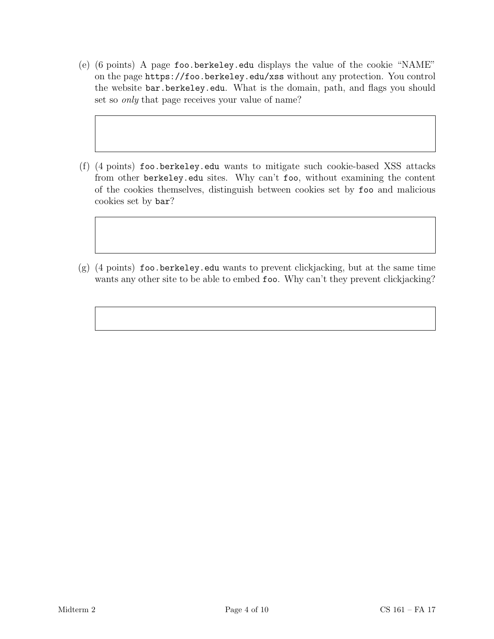- (e) (6 points) A page foo.berkeley.edu displays the value of the cookie "NAME" on the page https://foo.berkeley.edu/xss without any protection. You control the website bar.berkeley.edu. What is the domain, path, and flags you should set so only that page receives your value of name?
- (f) (4 points) foo.berkeley.edu wants to mitigate such cookie-based XSS attacks from other berkeley.edu sites. Why can't foo, without examining the content of the cookies themselves, distinguish between cookies set by foo and malicious cookies set by bar?
- (g) (4 points) foo.berkeley.edu wants to prevent clickjacking, but at the same time wants any other site to be able to embed foo. Why can't they prevent clickjacking?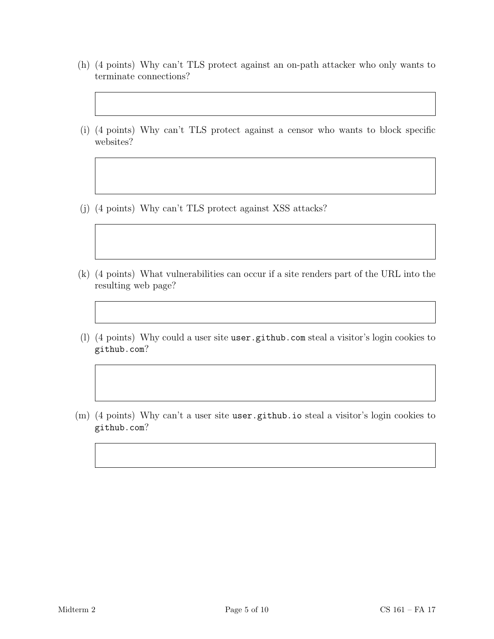- (h) (4 points) Why can't TLS protect against an on-path attacker who only wants to terminate connections?
- (i) (4 points) Why can't TLS protect against a censor who wants to block specific websites?
- (j) (4 points) Why can't TLS protect against XSS attacks?
- (k) (4 points) What vulnerabilities can occur if a site renders part of the URL into the resulting web page?
- (l) (4 points) Why could a user site user.github.com steal a visitor's login cookies to github.com?
- (m) (4 points) Why can't a user site user.github.io steal a visitor's login cookies to github.com?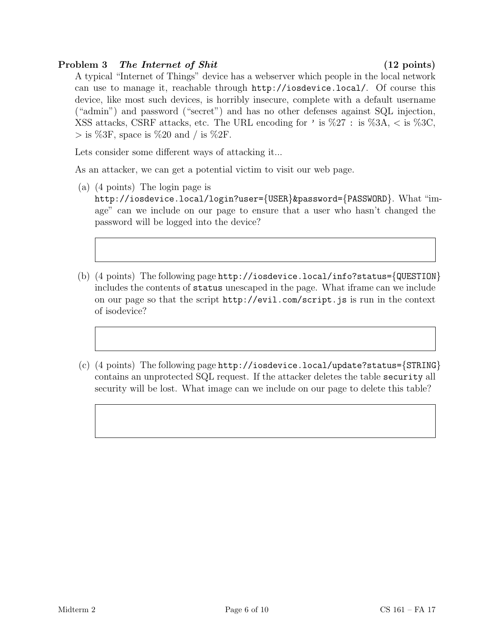# Problem 3 The Internet of Shit (12 points)

A typical "Internet of Things" device has a webserver which people in the local network can use to manage it, reachable through http://iosdevice.local/. Of course this device, like most such devices, is horribly insecure, complete with a default username ("admin") and password ("secret") and has no other defenses against SQL injection, XSS attacks, CSRF attacks, etc. The URL encoding for ' is  $\%27$  : is  $\%3A$ , < is  $\%3C$ ,  $>$  is %3F, space is %20 and / is %2F.

Lets consider some different ways of attacking it...

As an attacker, we can get a potential victim to visit our web page.

- (a) (4 points) The login page is http://iosdevice.local/login?user={USER}&password={PASSWORD}. What "image" can we include on our page to ensure that a user who hasn't changed the password will be logged into the device?
- (b) (4 points) The following page http://iosdevice.local/info?status={QUESTION} includes the contents of status unescaped in the page. What iframe can we include on our page so that the script http://evil.com/script.js is run in the context of isodevice?
- (c) (4 points) The following page http://iosdevice.local/update?status={STRING} contains an unprotected SQL request. If the attacker deletes the table security all security will be lost. What image can we include on our page to delete this table?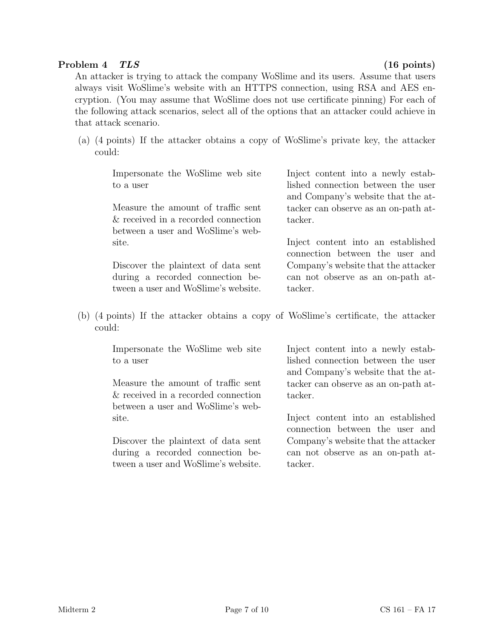### Problem 4 TLS (16 points)

An attacker is trying to attack the company WoSlime and its users. Assume that users always visit WoSlime's website with an HTTPS connection, using RSA and AES encryption. (You may assume that WoSlime does not use certificate pinning) For each of the following attack scenarios, select all of the options that an attacker could achieve in that attack scenario.

(a) (4 points) If the attacker obtains a copy of WoSlime's private key, the attacker could:

Impersonate the WoSlime web site to a user

Measure the amount of traffic sent & received in a recorded connection between a user and WoSlime's website.

Discover the plaintext of data sent during a recorded connection between a user and WoSlime's website. Inject content into a newly established connection between the user and Company's website that the attacker can observe as an on-path attacker.

Inject content into an established connection between the user and Company's website that the attacker can not observe as an on-path attacker.

(b) (4 points) If the attacker obtains a copy of WoSlime's certificate, the attacker could:

Impersonate the WoSlime web site to a user

Measure the amount of traffic sent & received in a recorded connection between a user and WoSlime's website.

Discover the plaintext of data sent during a recorded connection between a user and WoSlime's website.

Inject content into a newly established connection between the user and Company's website that the attacker can observe as an on-path attacker.

Inject content into an established connection between the user and Company's website that the attacker can not observe as an on-path attacker.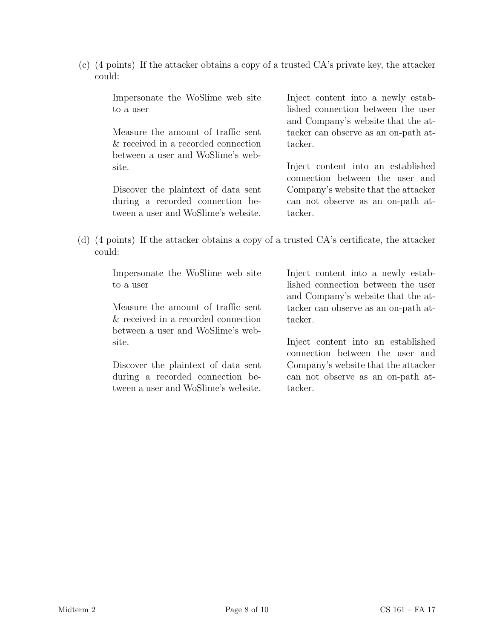(c) (4 points) If the attacker obtains a copy of a trusted CA's private key, the attacker could:

Impersonate the WoSlime web site to a user

Measure the amount of traffic sent & received in a recorded connection between a user and WoSlime's website.

Discover the plaintext of data sent during a recorded connection between a user and WoSlime's website. Inject content into a newly established connection between the user and Company's website that the attacker can observe as an on-path attacker.

Inject content into an established connection between the user and Company's website that the attacker can not observe as an on-path attacker.

(d) (4 points) If the attacker obtains a copy of a trusted CA's certificate, the attacker could:

Impersonate the WoSlime web site to a user

Measure the amount of traffic sent & received in a recorded connection between a user and WoSlime's website.

Discover the plaintext of data sent during a recorded connection between a user and WoSlime's website. Inject content into a newly established connection between the user and Company's website that the attacker can observe as an on-path attacker.

Inject content into an established connection between the user and Company's website that the attacker can not observe as an on-path attacker.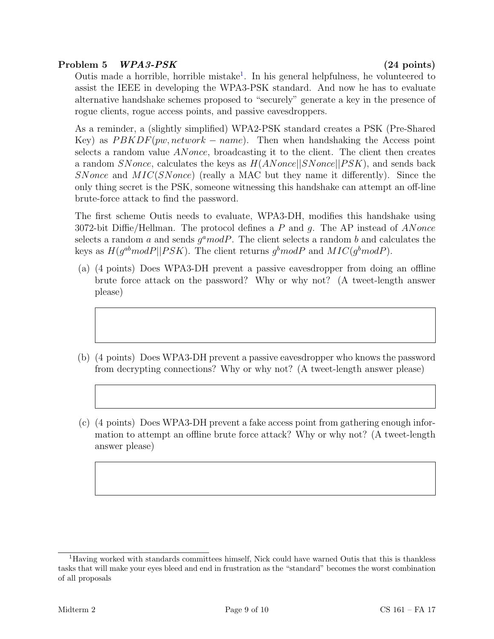# Problem 5 WPA3-PSK (24 points)

Outis made a horrible, horrible mistake<sup>[1](#page-8-0)</sup>. In his general helpfulness, he volunteered to assist the IEEE in developing the WPA3-PSK standard. And now he has to evaluate alternative handshake schemes proposed to "securely" generate a key in the presence of rogue clients, rogue access points, and passive eavesdroppers.

As a reminder, a (slightly simplified) WPA2-PSK standard creates a PSK (Pre-Shared Key) as  $PBKDF(pw, network - name)$ . Then when handshaking the Access point selects a random value ANonce, broadcasting it to the client. The client then creates a random SNonce, calculates the keys as  $H(ANonce||SNonce||PSK)$ , and sends back SNonce and  $MIC(SNone)$  (really a MAC but they name it differently). Since the only thing secret is the PSK, someone witnessing this handshake can attempt an off-line brute-force attack to find the password.

The first scheme Outis needs to evaluate, WPA3-DH, modifies this handshake using 3072-bit Diffie/Hellman. The protocol defines a P and q. The AP instead of ANonce selects a random a and sends  $g^a$  mod P. The client selects a random b and calculates the keys as  $H(g^{ab}modP||PSK)$ . The client returns  $g^bmodP$  and  $MIC(g^bmodP)$ .

- (a) (4 points) Does WPA3-DH prevent a passive eavesdropper from doing an offline brute force attack on the password? Why or why not? (A tweet-length answer please)
- (b) (4 points) Does WPA3-DH prevent a passive eavesdropper who knows the password from decrypting connections? Why or why not? (A tweet-length answer please)
- (c) (4 points) Does WPA3-DH prevent a fake access point from gathering enough information to attempt an offline brute force attack? Why or why not? (A tweet-length answer please)

<span id="page-8-0"></span><sup>1</sup>Having worked with standards committees himself, Nick could have warned Outis that this is thankless tasks that will make your eyes bleed and end in frustration as the "standard" becomes the worst combination of all proposals